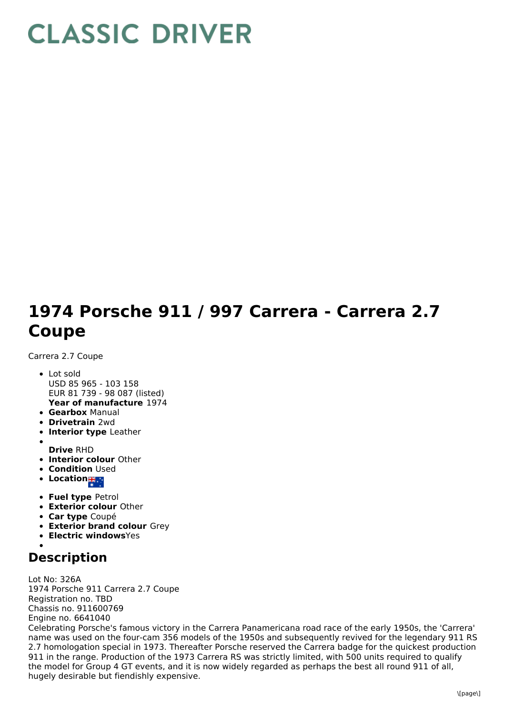## **CLASSIC DRIVER**

## **1974 Porsche 911 / 997 Carrera - Carrera 2.7 Coupe**

Carrera 2.7 Coupe

- **Year of manufacture** 1974 Lot sold USD 85 965 - 103 158 EUR 81 739 - 98 087 (listed)
- **Gearbox** Manual
- **Drivetrain** 2wd
- **Interior type** Leather
- **Drive** RHD
- **Interior colour** Other
- **Condition Used**
- **Location**
- **Fuel type** Petrol
- **Exterior colour** Other
- **Car type** Coupé
- **Exterior brand colour** Grey
- **Electric windows**Yes
- 

## **Description**

Lot No: 326A 1974 Porsche 911 Carrera 2.7 Coupe Registration no. TBD Chassis no. 911600769 Engine no. 6641040 Celebrating Porsche's famous victory in the Carrera Panamericana road race of the early 1950s, the 'Carrera' name was used on the four-cam 356 models of the 1950s and subsequently revived for the legendary 911 RS 2.7 homologation special in 1973. Thereafter Porsche reserved the Carrera badge for the quickest production 911 in the range. Production of the 1973 Carrera RS was strictly limited, with 500 units required to qualify the model for Group 4 GT events, and it is now widely regarded as perhaps the best all round 911 of all, hugely desirable but fiendishly expensive.